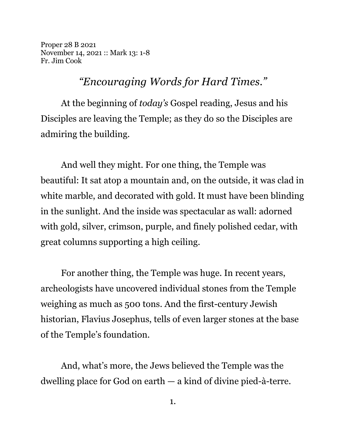Proper 28 B 2021 November 14, 2021 :: Mark 13: 1-8 Fr. Jim Cook

*"Encouraging Words for Hard Times."*

At the beginning of *today's* Gospel reading, Jesus and his Disciples are leaving the Temple; as they do so the Disciples are admiring the building.

And well they might. For one thing, the Temple was beautiful: It sat atop a mountain and, on the outside, it was clad in white marble, and decorated with gold. It must have been blinding in the sunlight. And the inside was spectacular as wall: adorned with gold, silver, crimson, purple, and finely polished cedar, with great columns supporting a high ceiling.

For another thing, the Temple was huge. In recent years, archeologists have uncovered individual stones from the Temple weighing as much as 500 tons. And the first-century Jewish historian, Flavius Josephus, tells of even larger stones at the base of the Temple's foundation.

And, what's more, the Jews believed the Temple was the dwelling place for God on earth — a kind of divine pied-à-terre.

1.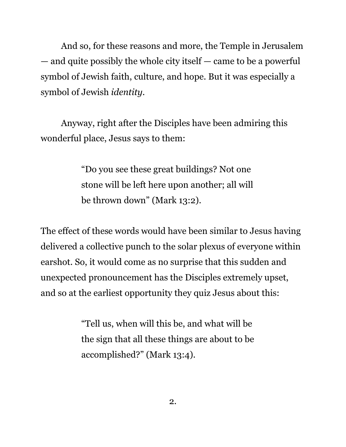And so, for these reasons and more, the Temple in Jerusalem — and quite possibly the whole city itself — came to be a powerful symbol of Jewish faith, culture, and hope. But it was especially a symbol of Jewish *identity*.

Anyway, right after the Disciples have been admiring this wonderful place, Jesus says to them:

> "Do you see these great buildings? Not one stone will be left here upon another; all will be thrown down" (Mark 13:2).

The effect of these words would have been similar to Jesus having delivered a collective punch to the solar plexus of everyone within earshot. So, it would come as no surprise that this sudden and unexpected pronouncement has the Disciples extremely upset, and so at the earliest opportunity they quiz Jesus about this:

> "Tell us, when will this be, and what will be the sign that all these things are about to be accomplished?" (Mark 13:4).

> > 2.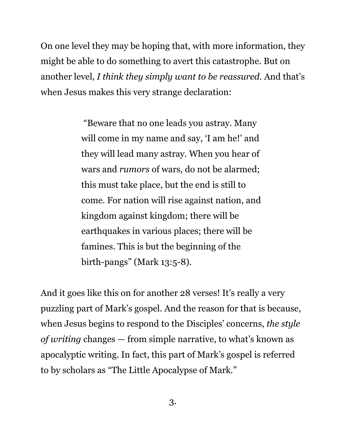On one level they may be hoping that, with more information, they might be able to do something to avert this catastrophe. But on another level, *I think they simply want to be reassured*. And that's when Jesus makes this very strange declaration:

> "Beware that no one leads you astray. Many will come in my name and say, 'I am he!' and they will lead many astray. When you hear of wars and *rumors* of wars, do not be alarmed; this must take place, but the end is still to come. For nation will rise against nation, and kingdom against kingdom; there will be earthquakes in various places; there will be famines. This is but the beginning of the birth-pangs" (Mark 13:5-8).

And it goes like this on for another 28 verses! It's really a very puzzling part of Mark's gospel. And the reason for that is because, when Jesus begins to respond to the Disciples' concerns, *the style of writing* changes — from simple narrative, to what's known as apocalyptic writing. In fact, this part of Mark's gospel is referred to by scholars as "The Little Apocalypse of Mark."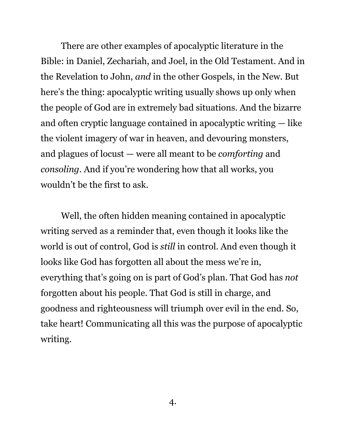There are other examples of apocalyptic literature in the Bible: in Daniel, Zechariah, and Joel, in the Old Testament. And in the Revelation to John, *and* in the other Gospels, in the New. But here's the thing: apocalyptic writing usually shows up only when the people of God are in extremely bad situations. And the bizarre and often cryptic language contained in apocalyptic writing — like the violent imagery of war in heaven, and devouring monsters, and plagues of locust — were all meant to be *comforting* and *consoling*. And if you're wondering how that all works, you wouldn't be the first to ask.

Well, the often hidden meaning contained in apocalyptic writing served as a reminder that, even though it looks like the world is out of control, God is *still* in control. And even though it looks like God has forgotten all about the mess we're in, everything that's going on is part of God's plan. That God has *not* forgotten about his people. That God is still in charge, and goodness and righteousness will triumph over evil in the end. So, take heart! Communicating all this was the purpose of apocalyptic writing.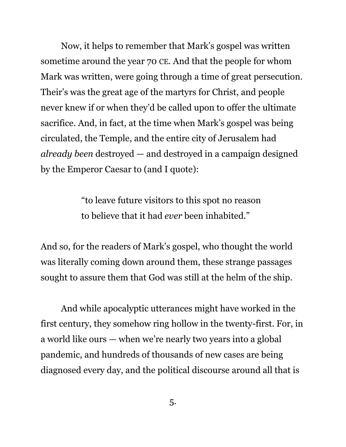Now, it helps to remember that Mark's gospel was written sometime around the year 70 CE. And that the people for whom Mark was written, were going through a time of great persecution. Their's was the great age of the martyrs for Christ, and people never knew if or when they'd be called upon to offer the ultimate sacrifice. And, in fact, at the time when Mark's gospel was being circulated, the Temple, and the entire city of Jerusalem had *already been* destroyed — and destroyed in a campaign designed by the Emperor Caesar to (and I quote):

> "to leave future visitors to this spot no reason to believe that it had *ever* been inhabited."

And so, for the readers of Mark's gospel, who thought the world was literally coming down around them, these strange passages sought to assure them that God was still at the helm of the ship.

And while apocalyptic utterances might have worked in the first century, they somehow ring hollow in the twenty-first. For, in a world like ours — when we're nearly two years into a global pandemic, and hundreds of thousands of new cases are being diagnosed every day, and the political discourse around all that is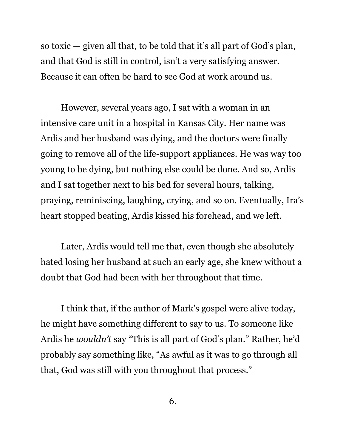so toxic — given all that, to be told that it's all part of God's plan, and that God is still in control, isn't a very satisfying answer. Because it can often be hard to see God at work around us.

However, several years ago, I sat with a woman in an intensive care unit in a hospital in Kansas City. Her name was Ardis and her husband was dying, and the doctors were finally going to remove all of the life-support appliances. He was way too young to be dying, but nothing else could be done. And so, Ardis and I sat together next to his bed for several hours, talking, praying, reminiscing, laughing, crying, and so on. Eventually, Ira's heart stopped beating, Ardis kissed his forehead, and we left.

Later, Ardis would tell me that, even though she absolutely hated losing her husband at such an early age, she knew without a doubt that God had been with her throughout that time.

I think that, if the author of Mark's gospel were alive today, he might have something different to say to us. To someone like Ardis he *wouldn't* say "This is all part of God's plan." Rather, he'd probably say something like, "As awful as it was to go through all that, God was still with you throughout that process."

6.